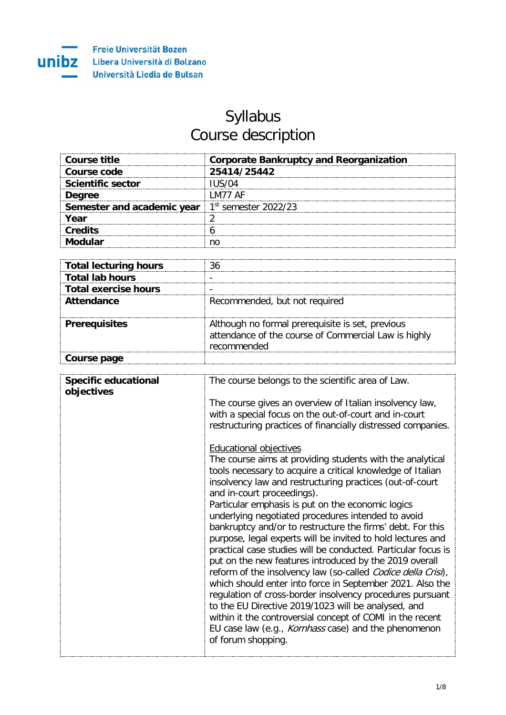## Syllabus Course description

| Course title                                             | <b>Corporate Bankruptcy and Reorganization</b> |
|----------------------------------------------------------|------------------------------------------------|
| Course code                                              | 25414/25442                                    |
| <b>Scientific sector</b>                                 |                                                |
| Dearee                                                   | I M77 AF                                       |
| <b>Semester and academic year</b> $1st$ semester 2022/23 |                                                |
| Year                                                     |                                                |
| <b>Credits</b>                                           |                                                |
|                                                          |                                                |

| <b>Total lecturing hours</b> |                                                                                                                         |
|------------------------------|-------------------------------------------------------------------------------------------------------------------------|
| <b>Total lab hours</b>       |                                                                                                                         |
| <b>Total exercise hours</b>  |                                                                                                                         |
| Attendance                   | Recommended, but not required                                                                                           |
| <b>Prerequisites</b>         | Although no formal prerequisite is set, previous<br>attendance of the course of Commercial Law is highly<br>recommended |
| Course page                  |                                                                                                                         |

| The course gives an overview of Italian insolvency law,<br>with a special focus on the out-of-court and in-court<br><b>Educational objectives</b><br>and in-court proceedings).<br>Particular emphasis is put on the economic logics<br>underlying negotiated procedures intended to avoid | <b>Specific educational</b> | The course belongs to the scientific area of Law.                                                                                                                                                                                                                                                                                                                                                                                                                                                                                                                                                                                                                                                                                                                  |
|--------------------------------------------------------------------------------------------------------------------------------------------------------------------------------------------------------------------------------------------------------------------------------------------|-----------------------------|--------------------------------------------------------------------------------------------------------------------------------------------------------------------------------------------------------------------------------------------------------------------------------------------------------------------------------------------------------------------------------------------------------------------------------------------------------------------------------------------------------------------------------------------------------------------------------------------------------------------------------------------------------------------------------------------------------------------------------------------------------------------|
|                                                                                                                                                                                                                                                                                            | objectives                  | restructuring practices of financially distressed companies.                                                                                                                                                                                                                                                                                                                                                                                                                                                                                                                                                                                                                                                                                                       |
| to the EU Directive 2019/1023 will be analysed, and<br>of forum shopping.                                                                                                                                                                                                                  |                             | The course aims at providing students with the analytical<br>tools necessary to acquire a critical knowledge of Italian<br>insolvency law and restructuring practices (out-of-court<br>bankruptcy and/or to restructure the firms' debt. For this<br>purpose, legal experts will be invited to hold lectures and<br>practical case studies will be conducted. Particular focus is<br>put on the new features introduced by the 2019 overall<br>reform of the insolvency law (so-called <i>Codice della Crisi</i> ).<br>which should enter into force in September 2021. Also the<br>regulation of cross-border insolvency procedures pursuant<br>within it the controversial concept of COMI in the recent<br>EU case law (e.g., Kornhass case) and the phenomenon |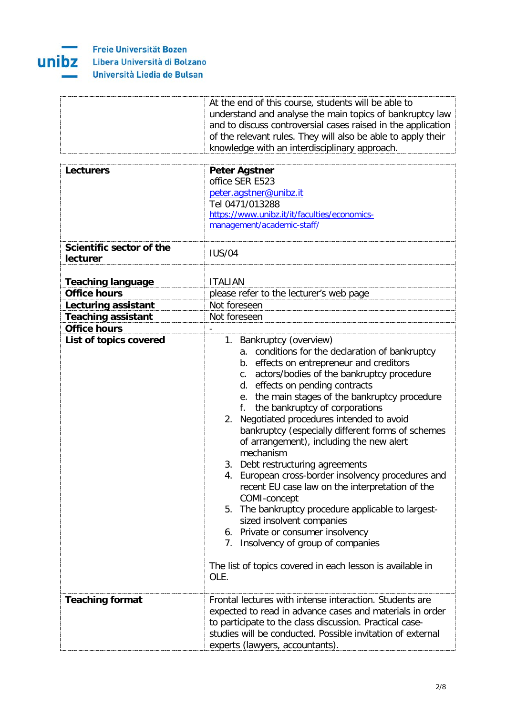

| At the end of this course, students will be able to          |
|--------------------------------------------------------------|
| understand and analyse the main topics of bankruptcy law     |
| and to discuss controversial cases raised in the application |
| of the relevant rules. They will also be able to apply their |
| knowledge with an interdisciplinary approach.                |
|                                                              |

| <b>Lecturers</b><br>Scientific sector of the | <b>Peter Agstner</b><br>office SER E523<br>peter.agstner@unibz.it<br>Tel 0471/013288<br>https://www.unibz.it/it/faculties/economics-<br>management/academic-staff/                                                                                                                                                                                                                                                                                                                                                                                                                                                                                                                                                                                                                                                                                                      |
|----------------------------------------------|-------------------------------------------------------------------------------------------------------------------------------------------------------------------------------------------------------------------------------------------------------------------------------------------------------------------------------------------------------------------------------------------------------------------------------------------------------------------------------------------------------------------------------------------------------------------------------------------------------------------------------------------------------------------------------------------------------------------------------------------------------------------------------------------------------------------------------------------------------------------------|
| lecturer                                     | <b>IUS/04</b>                                                                                                                                                                                                                                                                                                                                                                                                                                                                                                                                                                                                                                                                                                                                                                                                                                                           |
| <b>Teaching language</b>                     | <b>ITALIAN</b>                                                                                                                                                                                                                                                                                                                                                                                                                                                                                                                                                                                                                                                                                                                                                                                                                                                          |
| <b>Office hours</b>                          | please refer to the lecturer's web page                                                                                                                                                                                                                                                                                                                                                                                                                                                                                                                                                                                                                                                                                                                                                                                                                                 |
| <b>Lecturing assistant</b>                   | Not foreseen                                                                                                                                                                                                                                                                                                                                                                                                                                                                                                                                                                                                                                                                                                                                                                                                                                                            |
| <b>Teaching assistant</b>                    | Not foreseen                                                                                                                                                                                                                                                                                                                                                                                                                                                                                                                                                                                                                                                                                                                                                                                                                                                            |
| <b>Office hours</b>                          |                                                                                                                                                                                                                                                                                                                                                                                                                                                                                                                                                                                                                                                                                                                                                                                                                                                                         |
| List of topics covered                       | 1. Bankruptcy (overview)<br>a. conditions for the declaration of bankruptcy<br>b. effects on entrepreneur and creditors<br>c. actors/bodies of the bankruptcy procedure<br>d. effects on pending contracts<br>e. the main stages of the bankruptcy procedure<br>the bankruptcy of corporations<br>f.<br>Negotiated procedures intended to avoid<br>2.<br>bankruptcy (especially different forms of schemes<br>of arrangement), including the new alert<br>mechanism<br>3. Debt restructuring agreements<br>European cross-border insolvency procedures and<br>4.<br>recent EU case law on the interpretation of the<br>COMI-concept<br>5. The bankruptcy procedure applicable to largest-<br>sized insolvent companies<br>6. Private or consumer insolvency<br>7. Insolvency of group of companies<br>The list of topics covered in each lesson is available in<br>OLE. |
| <b>Teaching format</b>                       | Frontal lectures with intense interaction. Students are<br>expected to read in advance cases and materials in order<br>to participate to the class discussion. Practical case-<br>studies will be conducted. Possible invitation of external<br>experts (lawyers, accountants).                                                                                                                                                                                                                                                                                                                                                                                                                                                                                                                                                                                         |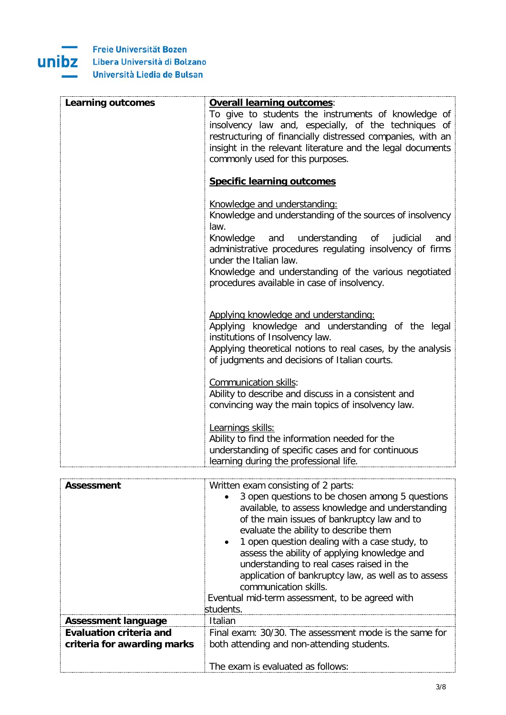

| Learning outcomes | <b>Overall learning outcomes:</b>                                                                                                             |
|-------------------|-----------------------------------------------------------------------------------------------------------------------------------------------|
|                   | To give to students the instruments of knowledge of                                                                                           |
|                   | insolvency law and, especially, of the techniques of                                                                                          |
|                   | restructuring of financially distressed companies, with an                                                                                    |
|                   | insight in the relevant literature and the legal documents                                                                                    |
|                   | commonly used for this purposes.                                                                                                              |
|                   |                                                                                                                                               |
|                   | <b>Specific learning outcomes</b>                                                                                                             |
|                   | Knowledge and understanding:                                                                                                                  |
|                   | Knowledge and understanding of the sources of insolvency<br>law.                                                                              |
|                   | understanding of<br>Knowledge<br>and<br>judicial<br>and<br>administrative procedures regulating insolvency of firms<br>under the Italian law. |
|                   | Knowledge and understanding of the various negotiated<br>procedures available in case of insolvency.                                          |
|                   | Applying knowledge and understanding:                                                                                                         |
|                   | Applying knowledge and understanding of the legal<br>institutions of Insolvency law.                                                          |
|                   | Applying theoretical notions to real cases, by the analysis<br>of judgments and decisions of Italian courts.                                  |
|                   | Communication skills:<br>Ability to describe and discuss in a consistent and                                                                  |
|                   | convincing way the main topics of insolvency law.                                                                                             |
|                   | Learnings skills:                                                                                                                             |
|                   | Ability to find the information needed for the                                                                                                |
|                   | understanding of specific cases and for continuous                                                                                            |
|                   | learning during the professional life.                                                                                                        |

| Assessment                                                    | Written exam consisting of 2 parts:<br>3 open questions to be chosen among 5 questions<br>available, to assess knowledge and understanding<br>of the main issues of bankruptcy law and to<br>evaluate the ability to describe them<br>1 open question dealing with a case study, to<br>$\bullet$<br>assess the ability of applying knowledge and<br>understanding to real cases raised in the<br>application of bankruptcy law, as well as to assess<br>communication skills.<br>Eventual mid-term assessment, to be agreed with<br>students. |
|---------------------------------------------------------------|-----------------------------------------------------------------------------------------------------------------------------------------------------------------------------------------------------------------------------------------------------------------------------------------------------------------------------------------------------------------------------------------------------------------------------------------------------------------------------------------------------------------------------------------------|
| <b>Assessment language</b>                                    | Italian                                                                                                                                                                                                                                                                                                                                                                                                                                                                                                                                       |
| <b>Evaluation criteria and</b><br>criteria for awarding marks | Final exam: 30/30. The assessment mode is the same for<br>both attending and non-attending students.<br>The exam is evaluated as follows:                                                                                                                                                                                                                                                                                                                                                                                                     |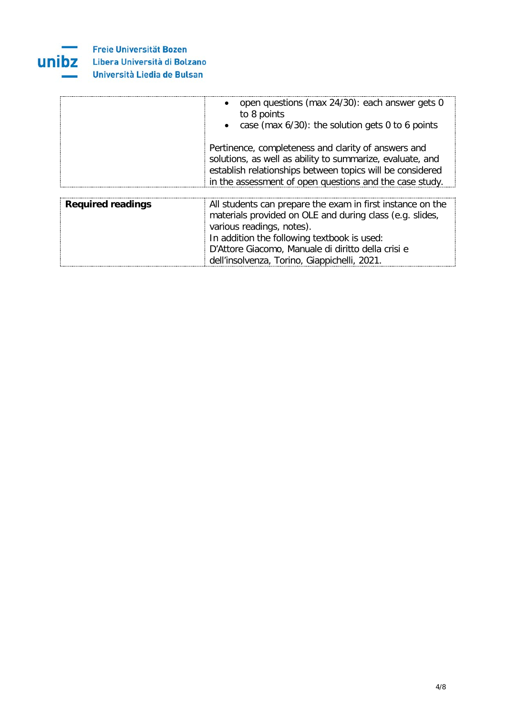

|                          | open questions (max 24/30): each answer gets 0<br>$\bullet$<br>to 8 points<br>• case (max 6/30): the solution gets 0 to 6 points                                                                                                                         |
|--------------------------|----------------------------------------------------------------------------------------------------------------------------------------------------------------------------------------------------------------------------------------------------------|
|                          | Pertinence, completeness and clarity of answers and<br>solutions, as well as ability to summarize, evaluate, and<br>establish relationships between topics will be considered<br>in the assessment of open questions and the case study.                 |
|                          |                                                                                                                                                                                                                                                          |
| <b>Required readings</b> | All students can prepare the exam in first instance on the<br>materials provided on OLE and during class (e.g. slides,<br>various readings, notes).<br>In addition the following textbook is used:<br>D'Attore Giacomo, Manuale di diritto della crisi e |
|                          | dell'insolvenza, Torino, Giappichelli, 2021.                                                                                                                                                                                                             |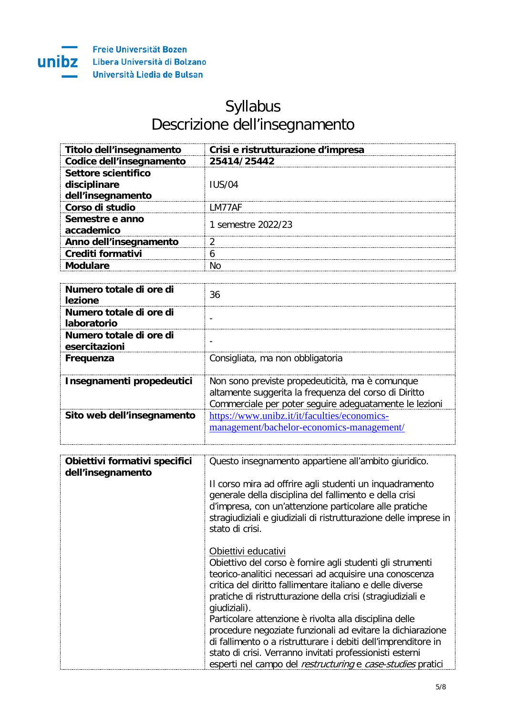

## Syllabus Descrizione dell'insegnamento

| Titolo dell'insegnamento      | Crisi e ristrutturazione d'impresa |
|-------------------------------|------------------------------------|
| Codice dell'insegnamento      | 25414/25442                        |
| Settore scientifico           |                                    |
| disciplinare                  | IUS/04                             |
| dell'insegnamento             |                                    |
| Corso di studio               | M77AF                              |
| Semestre e anno<br>accademico | 1 semestre 2022/23                 |
| Anno dell'insegnamento        |                                    |
| <b>Crediti formativi</b>      |                                    |
| Modulare                      |                                    |

| Numero totale di ore di<br>lezione            | 36                                                                                                                                                                 |
|-----------------------------------------------|--------------------------------------------------------------------------------------------------------------------------------------------------------------------|
| Numero totale di ore di<br><b>laboratorio</b> |                                                                                                                                                                    |
| Numero totale di ore di<br>esercitazioni      |                                                                                                                                                                    |
| Frequenza                                     | Consigliata, ma non obbligatoria                                                                                                                                   |
| Insegnamenti propedeutici                     | Non sono previste propedeuticità, ma è comunque<br>altamente suggerita la frequenza del corso di Diritto<br>Commerciale per poter seguire adequatamente le lezioni |
| Sito web dell'insegnamento                    | https://www.unibz.it/it/faculties/economics-<br>management/bachelor-economics-management/                                                                          |

| Obiettivi formativi specifici<br>dell'insegnamento | Questo insegnamento appartiene all'ambito giuridico.                                                                                                                                                                                                                                   |
|----------------------------------------------------|----------------------------------------------------------------------------------------------------------------------------------------------------------------------------------------------------------------------------------------------------------------------------------------|
|                                                    | Il corso mira ad offrire agli studenti un inquadramento<br>generale della disciplina del fallimento e della crisi<br>d'impresa, con un'attenzione particolare alle pratiche<br>stragiudiziali e giudiziali di ristrutturazione delle imprese in<br>stato di crisi.                     |
|                                                    | Obiettivi educativi<br>Obiettivo del corso è fornire agli studenti gli strumenti<br>teorico-analitici necessari ad acquisire una conoscenza<br>critica del diritto fallimentare italiano e delle diverse<br>pratiche di ristrutturazione della crisi (stragiudiziali e<br>giudiziali). |
|                                                    | Particolare attenzione è rivolta alla disciplina delle<br>procedure negoziate funzionali ad evitare la dichiarazione                                                                                                                                                                   |
|                                                    | di fallimento o a ristrutturare i debiti dell'imprenditore in<br>stato di crisi. Verranno invitati professionisti esterni<br>esperti nel campo del restructuring e case-studies pratici                                                                                                |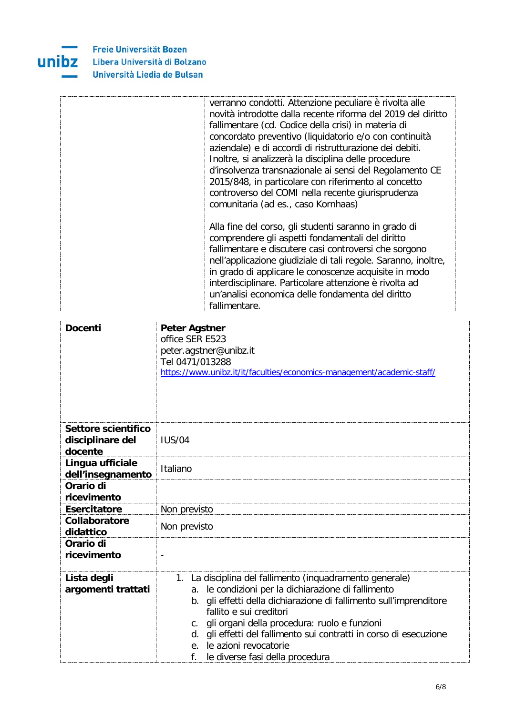

| verranno condotti. Attenzione peculiare è rivolta alle<br>novità introdotte dalla recente riforma del 2019 del diritto<br>fallimentare (cd. Codice della crisi) in materia di<br>concordato preventivo (liquidatorio e/o con continuità<br>aziendale) e di accordi di ristrutturazione dei debiti.<br>Inoltre, si analizzerà la disciplina delle procedure<br>d'insolvenza transnazionale ai sensi del Regolamento CE<br>2015/848, in particolare con riferimento al concetto<br>controverso del COMI nella recente giurisprudenza<br>comunitaria (ad es., caso Kornhaas) |
|---------------------------------------------------------------------------------------------------------------------------------------------------------------------------------------------------------------------------------------------------------------------------------------------------------------------------------------------------------------------------------------------------------------------------------------------------------------------------------------------------------------------------------------------------------------------------|
| Alla fine del corso, gli studenti saranno in grado di<br>comprendere gli aspetti fondamentali del diritto<br>fallimentare e discutere casi controversi che sorgono<br>nell'applicazione giudiziale di tali regole. Saranno, inoltre,<br>in grado di applicare le conoscenze acquisite in modo<br>interdisciplinare. Particolare attenzione è rivolta ad<br>un'analisi economica delle fondamenta del diritto<br>fallimentare.                                                                                                                                             |

| <b>Docenti</b>                                     | <b>Peter Agstner</b><br>office SER E523<br>peter.agstner@unibz.it<br>Tel 0471/013288<br>https://www.unibz.it/it/faculties/economics-management/academic-staff/                                                                                                                                                                                                                                                             |
|----------------------------------------------------|----------------------------------------------------------------------------------------------------------------------------------------------------------------------------------------------------------------------------------------------------------------------------------------------------------------------------------------------------------------------------------------------------------------------------|
| Settore scientifico<br>disciplinare del<br>docente | <b>IUS/04</b>                                                                                                                                                                                                                                                                                                                                                                                                              |
| Lingua ufficiale<br>dell'insegnamento              | Italiano                                                                                                                                                                                                                                                                                                                                                                                                                   |
| Orario di<br>ricevimento                           |                                                                                                                                                                                                                                                                                                                                                                                                                            |
| <b>Esercitatore</b>                                | Non previsto                                                                                                                                                                                                                                                                                                                                                                                                               |
| Collaboratore<br>didattico                         | Non previsto                                                                                                                                                                                                                                                                                                                                                                                                               |
| Orario di<br>ricevimento                           |                                                                                                                                                                                                                                                                                                                                                                                                                            |
| Lista degli<br>argomenti trattati                  | La disciplina del fallimento (inquadramento generale)<br>1.<br>le condizioni per la dichiarazione di fallimento<br>а.<br>gli effetti della dichiarazione di fallimento sull'imprenditore<br>b.<br>fallito e sui creditori<br>gli organi della procedura: ruolo e funzioni<br>C.<br>gli effetti del fallimento sui contratti in corso di esecuzione<br>d.<br>le azioni revocatorie<br>f.<br>le diverse fasi della procedura |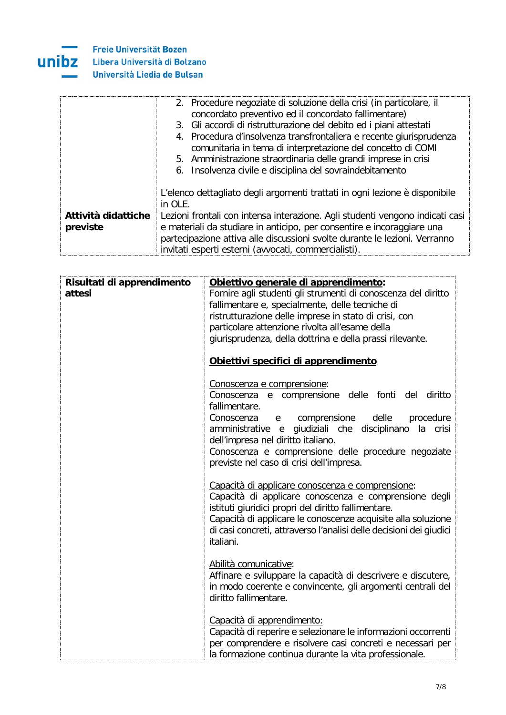

|                     | 2. Procedure negoziate di soluzione della crisi (in particolare, il                                                                |  |  |
|---------------------|------------------------------------------------------------------------------------------------------------------------------------|--|--|
|                     | concordato preventivo ed il concordato fallimentare)                                                                               |  |  |
|                     | 3. Gli accordi di ristrutturazione del debito ed i piani attestati                                                                 |  |  |
|                     | 4. Procedura d'insolvenza transfrontaliera e recente giurisprudenza<br>comunitaria in tema di interpretazione del concetto di COMI |  |  |
|                     | 5. Amministrazione straordinaria delle grandi imprese in crisi                                                                     |  |  |
|                     | 6. Insolvenza civile e disciplina del sovraindebitamento                                                                           |  |  |
|                     |                                                                                                                                    |  |  |
|                     | L'elenco dettagliato degli argomenti trattati in ogni lezione è disponibile                                                        |  |  |
|                     | in OLE.                                                                                                                            |  |  |
| Attività didattiche | Lezioni frontali con intensa interazione. Agli studenti vengono indicati casi                                                      |  |  |
| previste            | e materiali da studiare in anticipo, per consentire e incoraggiare una                                                             |  |  |
|                     | partecipazione attiva alle discussioni svolte durante le lezioni. Verranno                                                         |  |  |
|                     | invitati esperti esterni (avvocati, commercialisti).                                                                               |  |  |

| Risultati di apprendimento<br>attesi | Obiettivo generale di apprendimento:<br>Fornire agli studenti gli strumenti di conoscenza del diritto<br>fallimentare e, specialmente, delle tecniche di<br>ristrutturazione delle imprese in stato di crisi, con<br>particolare attenzione rivolta all'esame della<br>giurisprudenza, della dottrina e della prassi rilevante.                                |
|--------------------------------------|----------------------------------------------------------------------------------------------------------------------------------------------------------------------------------------------------------------------------------------------------------------------------------------------------------------------------------------------------------------|
|                                      | Obiettivi specifici di apprendimento                                                                                                                                                                                                                                                                                                                           |
|                                      | Conoscenza e comprensione:<br>Conoscenza e comprensione delle fonti del diritto<br>fallimentare.<br>comprensione<br>delle<br>Conoscenza<br>procedure<br>e<br>amministrative e giudiziali che disciplinano<br>la crisi<br>dell'impresa nel diritto italiano.<br>Conoscenza e comprensione delle procedure negoziate<br>previste nel caso di crisi dell'impresa. |
|                                      | Capacità di applicare conoscenza e comprensione:<br>Capacità di applicare conoscenza e comprensione degli<br>istituti giuridici propri del diritto fallimentare.<br>Capacità di applicare le conoscenze acquisite alla soluzione<br>di casi concreti, attraverso l'analisi delle decisioni dei giudici<br>italiani.                                            |
|                                      | Abilità comunicative:<br>Affinare e sviluppare la capacità di descrivere e discutere,<br>in modo coerente e convincente, gli argomenti centrali del<br>diritto fallimentare.                                                                                                                                                                                   |
|                                      | Capacità di apprendimento:<br>Capacità di reperire e selezionare le informazioni occorrenti<br>per comprendere e risolvere casi concreti e necessari per<br>la formazione continua durante la vita professionale.                                                                                                                                              |